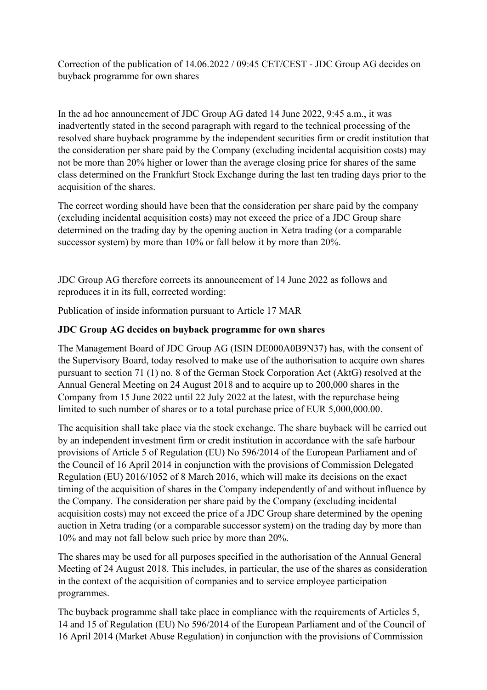Correction of the publication of 14.06.2022 / 09:45 CET/CEST - JDC Group AG decides on buyback programme for own shares

In the ad hoc announcement of JDC Group AG dated 14 June 2022, 9:45 a.m., it was inadvertently stated in the second paragraph with regard to the technical processing of the resolved share buyback programme by the independent securities firm or credit institution that the consideration per share paid by the Company (excluding incidental acquisition costs) may not be more than 20% higher or lower than the average closing price for shares of the same class determined on the Frankfurt Stock Exchange during the last ten trading days prior to the acquisition of the shares.

The correct wording should have been that the consideration per share paid by the company (excluding incidental acquisition costs) may not exceed the price of a JDC Group share determined on the trading day by the opening auction in Xetra trading (or a comparable successor system) by more than 10% or fall below it by more than 20%.

JDC Group AG therefore corrects its announcement of 14 June 2022 as follows and reproduces it in its full, corrected wording:

Publication of inside information pursuant to Article 17 MAR

## **JDC Group AG decides on buyback programme for own shares**

The Management Board of JDC Group AG (ISIN DE000A0B9N37) has, with the consent of the Supervisory Board, today resolved to make use of the authorisation to acquire own shares pursuant to section 71 (1) no. 8 of the German Stock Corporation Act (AktG) resolved at the Annual General Meeting on 24 August 2018 and to acquire up to 200,000 shares in the Company from 15 June 2022 until 22 July 2022 at the latest, with the repurchase being limited to such number of shares or to a total purchase price of EUR 5,000,000.00.

The acquisition shall take place via the stock exchange. The share buyback will be carried out by an independent investment firm or credit institution in accordance with the safe harbour provisions of Article 5 of Regulation (EU) No 596/2014 of the European Parliament and of the Council of 16 April 2014 in conjunction with the provisions of Commission Delegated Regulation (EU) 2016/1052 of 8 March 2016, which will make its decisions on the exact timing of the acquisition of shares in the Company independently of and without influence by the Company. The consideration per share paid by the Company (excluding incidental acquisition costs) may not exceed the price of a JDC Group share determined by the opening auction in Xetra trading (or a comparable successor system) on the trading day by more than 10% and may not fall below such price by more than 20%.

The shares may be used for all purposes specified in the authorisation of the Annual General Meeting of 24 August 2018. This includes, in particular, the use of the shares as consideration in the context of the acquisition of companies and to service employee participation programmes.

The buyback programme shall take place in compliance with the requirements of Articles 5, 14 and 15 of Regulation (EU) No 596/2014 of the European Parliament and of the Council of 16 April 2014 (Market Abuse Regulation) in conjunction with the provisions of Commission